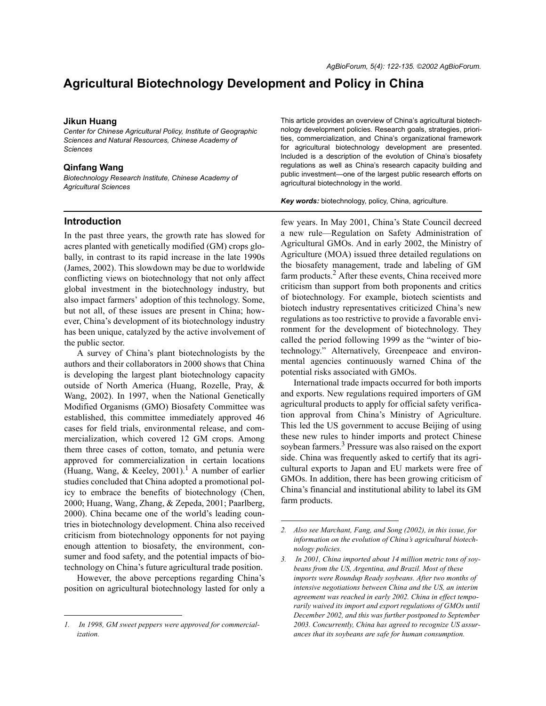# **Agricultural Biotechnology Development and Policy in China**

#### **Jikun Huang**

*Center for Chinese Agricultural Policy, Institute of Geographic Sciences and Natural Resources, Chinese Academy of Sciences*

#### **Qinfang Wang**

*Biotechnology Research Institute, Chinese Academy of Agricultural Sciences*

#### **Introduction**

In the past three years, the growth rate has slowed for acres planted with genetically modified (GM) crops globally, in contrast to its rapid increase in the late 1990s (James, 2002). This slowdown may be due to worldwide conflicting views on biotechnology that not only affect global investment in the biotechnology industry, but also impact farmers' adoption of this technology. Some, but not all, of these issues are present in China; however, China's development of its biotechnology industry has been unique, catalyzed by the active involvement of the public sector.

A survey of China's plant biotechnologists by the authors and their collaborators in 2000 shows that China is developing the largest plant biotechnology capacity outside of North America (Huang, Rozelle, Pray, & Wang, 2002). In 1997, when the National Genetically Modified Organisms (GMO) Biosafety Committee was established, this committee immediately approved 46 cases for field trials, environmental release, and commercialization, which covered 12 GM crops. Among them three cases of cotton, tomato, and petunia were approved for commercialization in certain locations (Huang, Wang, & Keeley, 2001).<sup>1</sup> A number of earlier studies concluded that China adopted a promotional policy to embrace the benefits of biotechnology (Chen, 2000; Huang, Wang, Zhang, & Zepeda, 2001; Paarlberg, 2000). China became one of the world's leading countries in biotechnology development. China also received criticism from biotechnology opponents for not paying enough attention to biosafety, the environment, consumer and food safety, and the potential impacts of biotechnology on China's future agricultural trade position.

However, the above perceptions regarding China's position on agricultural biotechnology lasted for only a This article provides an overview of China's agricultural biotechnology development policies. Research goals, strategies, priorities, commercialization, and Chinaís organizational framework for agricultural biotechnology development are presented. Included is a description of the evolution of Chinaís biosafety regulations as well as China's research capacity building and public investment—one of the largest public research efforts on agricultural biotechnology in the world.

*Key words:* biotechnology, policy, China, agriculture.

few years. In May 2001, China's State Council decreed a new rule—Regulation on Safety Administration of Agricultural GMOs. And in early 2002, the Ministry of Agriculture (MOA) issued three detailed regulations on the biosafety management, trade and labeling of GM farm products.<sup>2</sup> After these events, China received more criticism than support from both proponents and critics of biotechnology. For example, biotech scientists and biotech industry representatives criticized China's new regulations as too restrictive to provide a favorable environment for the development of biotechnology. They called the period following 1999 as the "winter of biotechnology." Alternatively, Greenpeace and environmental agencies continuously warned China of the potential risks associated with GMOs.

International trade impacts occurred for both imports and exports. New regulations required importers of GM agricultural products to apply for official safety verification approval from China's Ministry of Agriculture. This led the US government to accuse Beijing of using these new rules to hinder imports and protect Chinese soybean farmers.<sup>3</sup> Pressure was also raised on the export side. China was frequently asked to certify that its agricultural exports to Japan and EU markets were free of GMOs. In addition, there has been growing criticism of Chinaís financial and institutional ability to label its GM farm products.

*<sup>1.</sup> In 1998, GM sweet peppers were approved for commercialization.*

*<sup>2.</sup> Also see Marchant, Fang, and Song (2002), in this issue, for information on the evolution of Chinaís agricultural biotechnology policies.*

*<sup>3.</sup> In 2001, China imported about 14 million metric tons of soybeans from the US, Argentina, and Brazil. Most of these imports were Roundup Ready soybeans. After two months of intensive negotiations between China and the US, an interim agreement was reached in early 2002. China in effect temporarily waived its import and export regulations of GMOs until December 2002, and this was further postponed to September 2003. Concurrently, China has agreed to recognize US assurances that its soybeans are safe for human consumption.*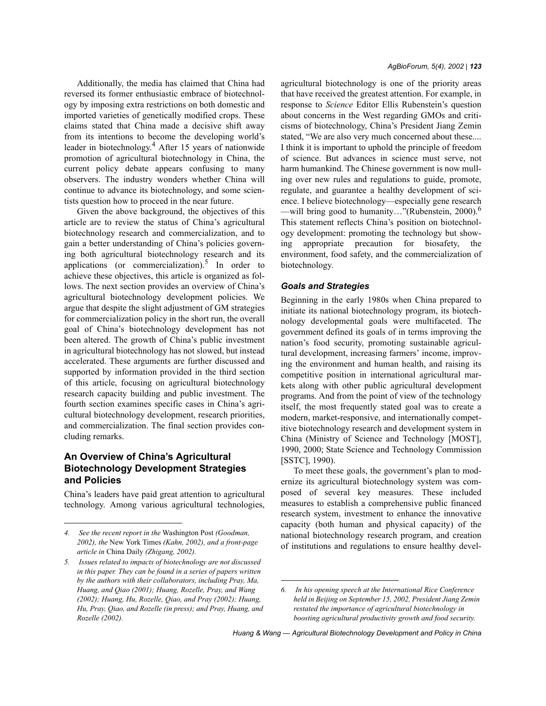Additionally, the media has claimed that China had reversed its former enthusiastic embrace of biotechnology by imposing extra restrictions on both domestic and imported varieties of genetically modified crops. These claims stated that China made a decisive shift away from its intentions to become the developing world's leader in biotechnology.<sup>4</sup> After 15 years of nationwide promotion of agricultural biotechnology in China, the current policy debate appears confusing to many observers. The industry wonders whether China will continue to advance its biotechnology, and some scientists question how to proceed in the near future.

Given the above background, the objectives of this article are to review the status of China's agricultural biotechnology research and commercialization, and to gain a better understanding of China's policies governing both agricultural biotechnology research and its applications (or commercialization). $5$  In order to achieve these objectives, this article is organized as follows. The next section provides an overview of China's agricultural biotechnology development policies. We argue that despite the slight adjustment of GM strategies for commercialization policy in the short run, the overall goal of Chinaís biotechnology development has not been altered. The growth of China's public investment in agricultural biotechnology has not slowed, but instead accelerated. These arguments are further discussed and supported by information provided in the third section of this article, focusing on agricultural biotechnology research capacity building and public investment. The fourth section examines specific cases in China's agricultural biotechnology development, research priorities, and commercialization. The final section provides concluding remarks.

# **An Overview of Chinaís Agricultural Biotechnology Development Strategies and Policies**

Chinaís leaders have paid great attention to agricultural technology. Among various agricultural technologies, agricultural biotechnology is one of the priority areas that have received the greatest attention. For example, in response to *Science* Editor Ellis Rubenstein's question about concerns in the West regarding GMOs and criticisms of biotechnology, China's President Jiang Zemin stated, "We are also very much concerned about these.... I think it is important to uphold the principle of freedom of science. But advances in science must serve, not harm humankind. The Chinese government is now mulling over new rules and regulations to guide, promote, regulate, and guarantee a healthy development of science. I believe biotechnology—especially gene research —will bring good to humanity..."(Rubenstein, 2000).<sup>6</sup> This statement reflects China's position on biotechnology development: promoting the technology but showing appropriate precaution for biosafety, the environment, food safety, and the commercialization of biotechnology.

#### *Goals and Strategies*

Beginning in the early 1980s when China prepared to initiate its national biotechnology program, its biotechnology developmental goals were multifaceted. The government defined its goals of in terms improving the nation's food security, promoting sustainable agricultural development, increasing farmers' income, improving the environment and human health, and raising its competitive position in international agricultural markets along with other public agricultural development programs. And from the point of view of the technology itself, the most frequently stated goal was to create a modern, market-responsive, and internationally competitive biotechnology research and development system in China (Ministry of Science and Technology [MOST], 1990, 2000; State Science and Technology Commission [SSTC], 1990).

To meet these goals, the government's plan to modernize its agricultural biotechnology system was composed of several key measures. These included measures to establish a comprehensive public financed research system, investment to enhance the innovative capacity (both human and physical capacity) of the national biotechnology research program, and creation of institutions and regulations to ensure healthy devel-

*<sup>4.</sup> See the recent report in the* Washington Post *(Goodman, 2002), the* New York Times *(Kahn, 2002), and a front-page article in* China Daily *(Zhigang, 2002).*

*<sup>5.</sup> Issues related to impacts of biotechnology are not discussed in this paper. They can be found in a series of papers written by the authors with their collaborators, including Pray, Ma, Huang, and Qiao (2001); Huang, Rozelle, Pray, and Wang (2002); Huang, Hu, Rozelle, Qiao, and Pray (2002); Huang, Hu, Pray, Qiao, and Rozelle (in press); and Pray, Huang, and Rozelle (2002).*

*<sup>6.</sup> In his opening speech at the International Rice Conference held in Beijing on September 15, 2002, President Jiang Zemin restated the importance of agricultural biotechnology in boosting agricultural productivity growth and food security.*

*Huang & Wang – Agricultural Biotechnology Development and Policy in China*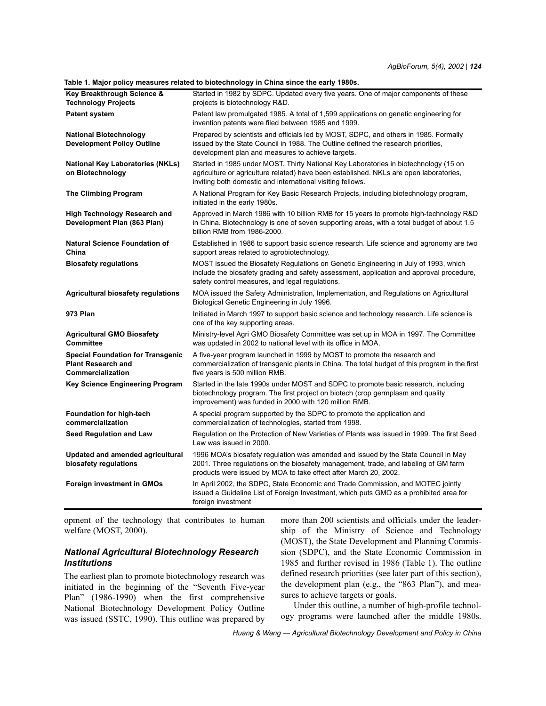**Table 1. Major policy measures related to biotechnology in China since the early 1980s.**

|                                                                                            | rable 1. Major policy measures related to biotechnology in Grillia since the early 1960s.                                                                                                                                                     |
|--------------------------------------------------------------------------------------------|-----------------------------------------------------------------------------------------------------------------------------------------------------------------------------------------------------------------------------------------------|
| Key Breakthrough Science &<br><b>Technology Projects</b>                                   | Started in 1982 by SDPC. Updated every five years. One of major components of these<br>projects is biotechnology R&D.                                                                                                                         |
| <b>Patent system</b>                                                                       | Patent law promulgated 1985. A total of 1,599 applications on genetic engineering for<br>invention patents were filed between 1985 and 1999.                                                                                                  |
| <b>National Biotechnology</b><br><b>Development Policy Outline</b>                         | Prepared by scientists and officials led by MOST, SDPC, and others in 1985. Formally<br>issued by the State Council in 1988. The Outline defined the research priorities,<br>development plan and measures to achieve targets.                |
| <b>National Key Laboratories (NKLs)</b><br>on Biotechnology                                | Started in 1985 under MOST. Thirty National Key Laboratories in biotechnology (15 on<br>agriculture or agriculture related) have been established. NKLs are open laboratories,<br>inviting both domestic and international visiting fellows.  |
| <b>The Climbing Program</b>                                                                | A National Program for Key Basic Research Projects, including biotechnology program,<br>initiated in the early 1980s.                                                                                                                         |
| <b>High Technology Research and</b><br>Development Plan (863 Plan)                         | Approved in March 1986 with 10 billion RMB for 15 years to promote high-technology R&D<br>in China. Biotechnology is one of seven supporting areas, with a total budget of about 1.5<br>billion RMB from 1986-2000.                           |
| <b>Natural Science Foundation of</b><br>China                                              | Established in 1986 to support basic science research. Life science and agronomy are two<br>support areas related to agrobiotechnology.                                                                                                       |
| <b>Biosafety regulations</b>                                                               | MOST issued the Biosafety Regulations on Genetic Engineering in July of 1993, which<br>include the biosafety grading and safety assessment, application and approval procedure,<br>safety control measures, and legal regulations.            |
| <b>Agricultural biosafety regulations</b>                                                  | MOA issued the Safety Administration, Implementation, and Regulations on Agricultural<br>Biological Genetic Engineering in July 1996.                                                                                                         |
| 973 Plan                                                                                   | Initiated in March 1997 to support basic science and technology research. Life science is<br>one of the key supporting areas.                                                                                                                 |
| <b>Agricultural GMO Biosafety</b><br><b>Committee</b>                                      | Ministry-level Agri GMO Biosafety Committee was set up in MOA in 1997. The Committee<br>was updated in 2002 to national level with its office in MOA.                                                                                         |
| <b>Special Foundation for Transgenic</b><br><b>Plant Research and</b><br>Commercialization | A five-year program launched in 1999 by MOST to promote the research and<br>commercialization of transgenic plants in China. The total budget of this program in the first<br>five years is 500 million RMB.                                  |
| <b>Key Science Engineering Program</b>                                                     | Started in the late 1990s under MOST and SDPC to promote basic research, including<br>biotechnology program. The first project on biotech (crop germplasm and quality<br>improvement) was funded in 2000 with 120 million RMB.                |
| <b>Foundation for high-tech</b><br>commercialization                                       | A special program supported by the SDPC to promote the application and<br>commercialization of technologies, started from 1998.                                                                                                               |
| Seed Regulation and Law                                                                    | Regulation on the Protection of New Varieties of Plants was issued in 1999. The first Seed<br>Law was issued in 2000.                                                                                                                         |
| Updated and amended agricultural<br>biosafety regulations                                  | 1996 MOA's biosafety regulation was amended and issued by the State Council in May<br>2001. Three regulations on the biosafety management, trade, and labeling of GM farm<br>products were issued by MOA to take effect after March 20, 2002. |
| <b>Foreign investment in GMOs</b>                                                          | In April 2002, the SDPC, State Economic and Trade Commission, and MOTEC jointly<br>issued a Guideline List of Foreign Investment, which puts GMO as a prohibited area for<br>foreign investment                                               |

opment of the technology that contributes to human welfare (MOST, 2000).

## *National Agricultural Biotechnology Research Institutions*

The earliest plan to promote biotechnology research was initiated in the beginning of the "Seventh Five-year Plan" (1986-1990) when the first comprehensive National Biotechnology Development Policy Outline was issued (SSTC, 1990). This outline was prepared by more than 200 scientists and officials under the leadership of the Ministry of Science and Technology (MOST), the State Development and Planning Commission (SDPC), and the State Economic Commission in 1985 and further revised in 1986 (Table 1). The outline defined research priorities (see later part of this section), the development plan (e.g., the  $4863$  Plan"), and measures to achieve targets or goals.

Under this outline, a number of high-profile technology programs were launched after the middle 1980s.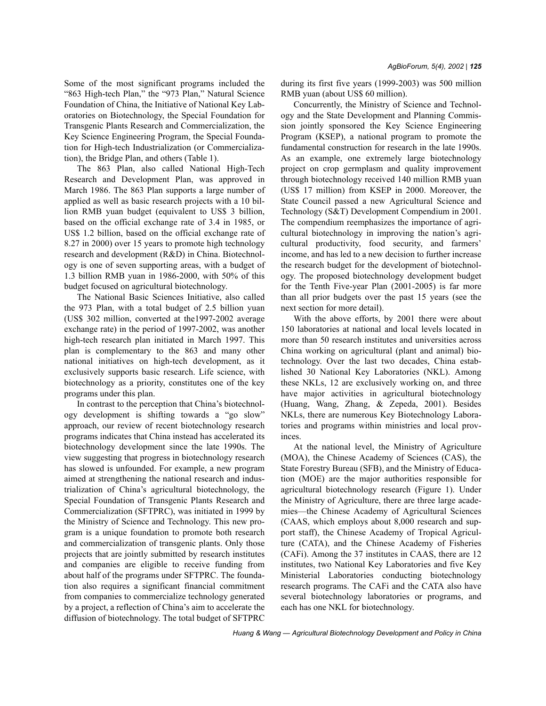Some of the most significant programs included the "863 High-tech Plan," the "973 Plan," Natural Science Foundation of China, the Initiative of National Key Laboratories on Biotechnology, the Special Foundation for Transgenic Plants Research and Commercialization, the Key Science Engineering Program, the Special Foundation for High-tech Industrialization (or Commercialization), the Bridge Plan, and others (Table 1).

The 863 Plan, also called National High-Tech Research and Development Plan, was approved in March 1986. The 863 Plan supports a large number of applied as well as basic research projects with a 10 billion RMB yuan budget (equivalent to US\$ 3 billion, based on the official exchange rate of 3.4 in 1985, or US\$ 1.2 billion, based on the official exchange rate of 8.27 in 2000) over 15 years to promote high technology research and development (R&D) in China. Biotechnology is one of seven supporting areas, with a budget of 1.3 billion RMB yuan in 1986-2000, with 50% of this budget focused on agricultural biotechnology.

The National Basic Sciences Initiative, also called the 973 Plan, with a total budget of 2.5 billion yuan (US\$ 302 million, converted at the1997-2002 average exchange rate) in the period of 1997-2002, was another high-tech research plan initiated in March 1997. This plan is complementary to the 863 and many other national initiatives on high-tech development, as it exclusively supports basic research. Life science, with biotechnology as a priority, constitutes one of the key programs under this plan.

In contrast to the perception that China's biotechnology development is shifting towards a "go slow" approach, our review of recent biotechnology research programs indicates that China instead has accelerated its biotechnology development since the late 1990s. The view suggesting that progress in biotechnology research has slowed is unfounded. For example, a new program aimed at strengthening the national research and industrialization of Chinaís agricultural biotechnology, the Special Foundation of Transgenic Plants Research and Commercialization (SFTPRC), was initiated in 1999 by the Ministry of Science and Technology. This new program is a unique foundation to promote both research and commercialization of transgenic plants. Only those projects that are jointly submitted by research institutes and companies are eligible to receive funding from about half of the programs under SFTPRC. The foundation also requires a significant financial commitment from companies to commercialize technology generated by a project, a reflection of China's aim to accelerate the diffusion of biotechnology. The total budget of SFTPRC during its first five years (1999-2003) was 500 million RMB yuan (about US\$ 60 million).

Concurrently, the Ministry of Science and Technology and the State Development and Planning Commission jointly sponsored the Key Science Engineering Program (KSEP), a national program to promote the fundamental construction for research in the late 1990s. As an example, one extremely large biotechnology project on crop germplasm and quality improvement through biotechnology received 140 million RMB yuan (US\$ 17 million) from KSEP in 2000. Moreover, the State Council passed a new Agricultural Science and Technology (S&T) Development Compendium in 2001. The compendium reemphasizes the importance of agricultural biotechnology in improving the nation's agricultural productivity, food security, and farmers' income, and has led to a new decision to further increase the research budget for the development of biotechnology. The proposed biotechnology development budget for the Tenth Five-year Plan (2001-2005) is far more than all prior budgets over the past 15 years (see the next section for more detail).

With the above efforts, by 2001 there were about 150 laboratories at national and local levels located in more than 50 research institutes and universities across China working on agricultural (plant and animal) biotechnology. Over the last two decades, China established 30 National Key Laboratories (NKL). Among these NKLs, 12 are exclusively working on, and three have major activities in agricultural biotechnology (Huang, Wang, Zhang, & Zepeda, 2001). Besides NKLs, there are numerous Key Biotechnology Laboratories and programs within ministries and local provinces.

At the national level, the Ministry of Agriculture (MOA), the Chinese Academy of Sciences (CAS), the State Forestry Bureau (SFB), and the Ministry of Education (MOE) are the major authorities responsible for agricultural biotechnology research (Figure 1). Under the Ministry of Agriculture, there are three large academies—the Chinese Academy of Agricultural Sciences (CAAS, which employs about 8,000 research and support staff), the Chinese Academy of Tropical Agriculture (CATA), and the Chinese Academy of Fisheries (CAFi). Among the 37 institutes in CAAS, there are 12 institutes, two National Key Laboratories and five Key Ministerial Laboratories conducting biotechnology research programs. The CAFi and the CATA also have several biotechnology laboratories or programs, and each has one NKL for biotechnology.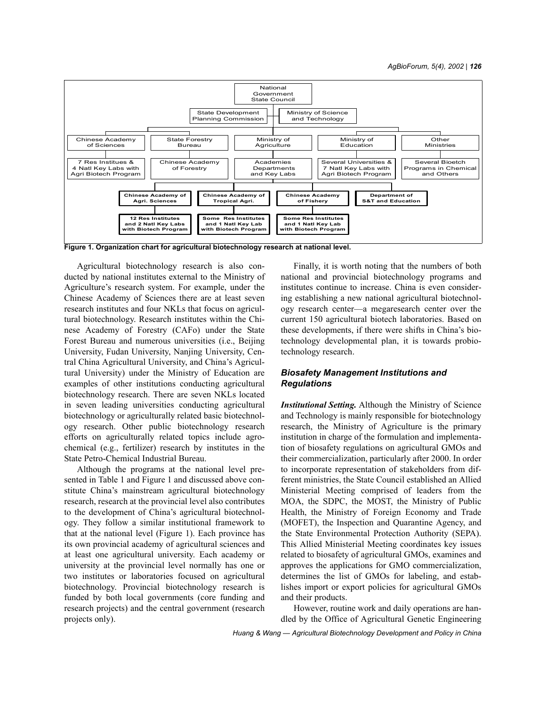

**Figure 1. Organization chart for agricultural biotechnology research at national level.**

Agricultural biotechnology research is also conducted by national institutes external to the Ministry of Agriculture's research system. For example, under the Chinese Academy of Sciences there are at least seven research institutes and four NKLs that focus on agricultural biotechnology. Research institutes within the Chinese Academy of Forestry (CAFo) under the State Forest Bureau and numerous universities (i.e., Beijing University, Fudan University, Nanjing University, Central China Agricultural University, and China's Agricultural University) under the Ministry of Education are examples of other institutions conducting agricultural biotechnology research. There are seven NKLs located in seven leading universities conducting agricultural biotechnology or agriculturally related basic biotechnology research. Other public biotechnology research efforts on agriculturally related topics include agrochemical (e.g., fertilizer) research by institutes in the State Petro-Chemical Industrial Bureau.

Although the programs at the national level presented in Table 1 and Figure 1 and discussed above constitute China's mainstream agricultural biotechnology research, research at the provincial level also contributes to the development of China's agricultural biotechnology. They follow a similar institutional framework to that at the national level (Figure 1). Each province has its own provincial academy of agricultural sciences and at least one agricultural university. Each academy or university at the provincial level normally has one or two institutes or laboratories focused on agricultural biotechnology. Provincial biotechnology research is funded by both local governments (core funding and research projects) and the central government (research projects only).

Finally, it is worth noting that the numbers of both national and provincial biotechnology programs and institutes continue to increase. China is even considering establishing a new national agricultural biotechnology research center—a megaresearch center over the current 150 agricultural biotech laboratories. Based on these developments, if there were shifts in China's biotechnology developmental plan, it is towards probiotechnology research.

# *Biosafety Management Institutions and Regulations*

*Institutional Setting.* Although the Ministry of Science and Technology is mainly responsible for biotechnology research, the Ministry of Agriculture is the primary institution in charge of the formulation and implementation of biosafety regulations on agricultural GMOs and their commercialization, particularly after 2000. In order to incorporate representation of stakeholders from different ministries, the State Council established an Allied Ministerial Meeting comprised of leaders from the MOA, the SDPC, the MOST, the Ministry of Public Health, the Ministry of Foreign Economy and Trade (MOFET), the Inspection and Quarantine Agency, and the State Environmental Protection Authority (SEPA). This Allied Ministerial Meeting coordinates key issues related to biosafety of agricultural GMOs, examines and approves the applications for GMO commercialization, determines the list of GMOs for labeling, and establishes import or export policies for agricultural GMOs and their products.

However, routine work and daily operations are handled by the Office of Agricultural Genetic Engineering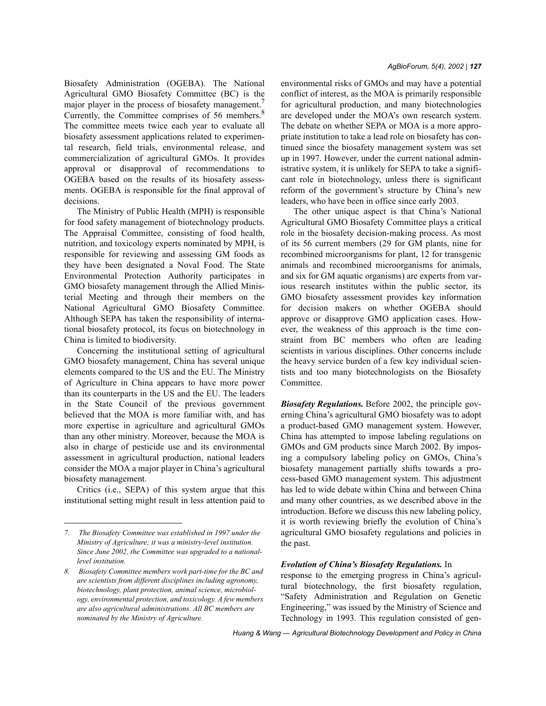Biosafety Administration (OGEBA). The National Agricultural GMO Biosafety Committee (BC) is the major player in the process of biosafety management.<sup>7</sup> Currently, the Committee comprises of 56 members.<sup>8</sup> The committee meets twice each year to evaluate all biosafety assessment applications related to experimental research, field trials, environmental release, and commercialization of agricultural GMOs. It provides approval or disapproval of recommendations to OGEBA based on the results of its biosafety assessments. OGEBA is responsible for the final approval of decisions.

The Ministry of Public Health (MPH) is responsible for food safety management of biotechnology products. The Appraisal Committee, consisting of food health, nutrition, and toxicology experts nominated by MPH, is responsible for reviewing and assessing GM foods as they have been designated a Noval Food. The State Environmental Protection Authority participates in GMO biosafety management through the Allied Ministerial Meeting and through their members on the National Agricultural GMO Biosafety Committee. Although SEPA has taken the responsibility of international biosafety protocol, its focus on biotechnology in China is limited to biodiversity.

Concerning the institutional setting of agricultural GMO biosafety management, China has several unique elements compared to the US and the EU. The Ministry of Agriculture in China appears to have more power than its counterparts in the US and the EU. The leaders in the State Council of the previous government believed that the MOA is more familiar with, and has more expertise in agriculture and agricultural GMOs than any other ministry. Moreover, because the MOA is also in charge of pesticide use and its environmental assessment in agricultural production, national leaders consider the MOA a major player in China's agricultural biosafety management.

Critics (i.e., SEPA) of this system argue that this institutional setting might result in less attention paid to environmental risks of GMOs and may have a potential conflict of interest, as the MOA is primarily responsible for agricultural production, and many biotechnologies are developed under the MOAís own research system. The debate on whether SEPA or MOA is a more appropriate institution to take a lead role on biosafety has continued since the biosafety management system was set up in 1997. However, under the current national administrative system, it is unlikely for SEPA to take a significant role in biotechnology, unless there is significant reform of the government's structure by China's new leaders, who have been in office since early 2003.

The other unique aspect is that China's National Agricultural GMO Biosafety Committee plays a critical role in the biosafety decision-making process. As most of its 56 current members (29 for GM plants, nine for recombined microorganisms for plant, 12 for transgenic animals and recombined microorganisms for animals, and six for GM aquatic organisms) are experts from various research institutes within the public sector, its GMO biosafety assessment provides key information for decision makers on whether OGEBA should approve or disapprove GMO application cases. However, the weakness of this approach is the time constraint from BC members who often are leading scientists in various disciplines. Other concerns include the heavy service burden of a few key individual scientists and too many biotechnologists on the Biosafety Committee.

*Biosafety Regulations.* Before 2002, the principle governing China's agricultural GMO biosafety was to adopt a product-based GMO management system. However, China has attempted to impose labeling regulations on GMOs and GM products since March 2002. By imposing a compulsory labeling policy on GMOs, China's biosafety management partially shifts towards a process-based GMO management system. This adjustment has led to wide debate within China and between China and many other countries, as we described above in the introduction. Before we discuss this new labeling policy, it is worth reviewing briefly the evolution of China's agricultural GMO biosafety regulations and policies in the past.

#### *Evolution of Chinaís Biosafety Regulations.* In

response to the emerging progress in China's agricultural biotechnology, the first biosafety regulation, ìSafety Administration and Regulation on Genetic Engineering," was issued by the Ministry of Science and Technology in 1993. This regulation consisted of gen-

*<sup>7.</sup> The Biosafety Committee was established in 1997 under the Ministry of Agriculture; it was a ministry-level institution. Since June 2002, the Committee was upgraded to a nationallevel institution.*

*<sup>8.</sup> Biosafety Committee members work part-time for the BC and are scientists from different disciplines including agronomy, biotechnology, plant protection, animal science, microbiology, environmental protection, and toxicology. A few members are also agricultural administrations. All BC members are nominated by the Ministry of Agriculture.*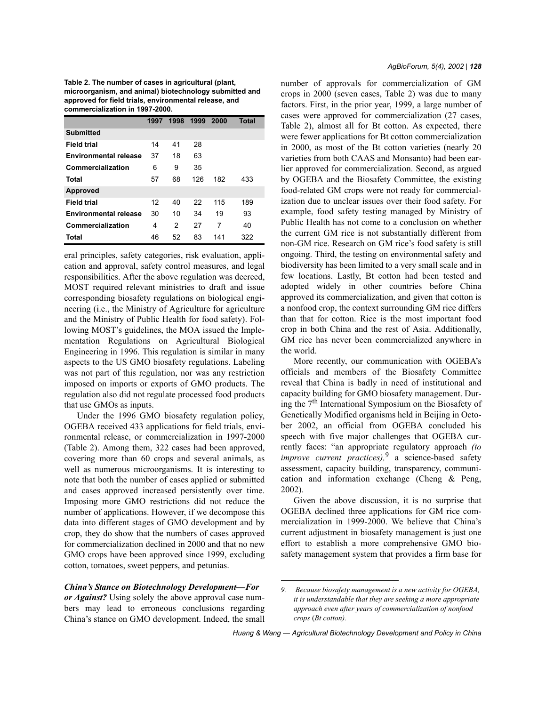**Table 2. The number of cases in agricultural (plant, microorganism, and animal) biotechnology submitted and approved for field trials, environmental release, and commercialization in 1997-2000.**

|                              | 1997 | 1998 | 1999 | 2000 | <b>Total</b> |
|------------------------------|------|------|------|------|--------------|
| <b>Submitted</b>             |      |      |      |      |              |
| <b>Field trial</b>           | 14   | 41   | 28   |      |              |
| Environmental release        | 37   | 18   | 63   |      |              |
| Commercialization            | 6    | 9    | 35   |      |              |
| Total                        | 57   | 68   | 126  | 182  | 433          |
| <b>Approved</b>              |      |      |      |      |              |
| <b>Field trial</b>           | 12   | 40   | 22   | 115  | 189          |
| <b>Environmental release</b> | 30   | 10   | 34   | 19   | 93           |
| Commercialization            | 4    | 2    | 27   | 7    | 40           |
| Total                        | 46   | 52   | 83   | 141  | 322          |

eral principles, safety categories, risk evaluation, application and approval, safety control measures, and legal responsibilities. After the above regulation was decreed, MOST required relevant ministries to draft and issue corresponding biosafety regulations on biological engineering (i.e., the Ministry of Agriculture for agriculture and the Ministry of Public Health for food safety). Following MOST's guidelines, the MOA issued the Implementation Regulations on Agricultural Biological Engineering in 1996. This regulation is similar in many aspects to the US GMO biosafety regulations. Labeling was not part of this regulation, nor was any restriction imposed on imports or exports of GMO products. The regulation also did not regulate processed food products that use GMOs as inputs.

Under the 1996 GMO biosafety regulation policy, OGEBA received 433 applications for field trials, environmental release, or commercialization in 1997-2000 (Table 2). Among them, 322 cases had been approved, covering more than 60 crops and several animals, as well as numerous microorganisms. It is interesting to note that both the number of cases applied or submitted and cases approved increased persistently over time. Imposing more GMO restrictions did not reduce the number of applications. However, if we decompose this data into different stages of GMO development and by crop, they do show that the numbers of cases approved for commercialization declined in 2000 and that no new GMO crops have been approved since 1999, excluding cotton, tomatoes, sweet peppers, and petunias.

#### *China's Stance on Biotechnology Development-For*

*or Against?* Using solely the above approval case numbers may lead to erroneous conclusions regarding Chinaís stance on GMO development. Indeed, the small number of approvals for commercialization of GM crops in 2000 (seven cases, Table 2) was due to many factors. First, in the prior year, 1999, a large number of cases were approved for commercialization (27 cases, Table 2), almost all for Bt cotton. As expected, there were fewer applications for Bt cotton commercialization in 2000, as most of the Bt cotton varieties (nearly 20 varieties from both CAAS and Monsanto) had been earlier approved for commercialization. Second, as argued by OGEBA and the Biosafety Committee, the existing food-related GM crops were not ready for commercialization due to unclear issues over their food safety. For example, food safety testing managed by Ministry of Public Health has not come to a conclusion on whether the current GM rice is not substantially different from non-GM rice. Research on GM rice's food safety is still ongoing. Third, the testing on environmental safety and biodiversity has been limited to a very small scale and in few locations. Lastly, Bt cotton had been tested and adopted widely in other countries before China approved its commercialization, and given that cotton is a nonfood crop, the context surrounding GM rice differs than that for cotton. Rice is the most important food crop in both China and the rest of Asia. Additionally, GM rice has never been commercialized anywhere in the world.

More recently, our communication with OGEBA's officials and members of the Biosafety Committee reveal that China is badly in need of institutional and capacity building for GMO biosafety management. During the  $7<sup>th</sup>$  International Symposium on the Biosafety of Genetically Modified organisms held in Beijing in October 2002, an official from OGEBA concluded his speech with five major challenges that OGEBA currently faces: "an appropriate regulatory approach *(to improve current practices),*9 a science-based safety assessment, capacity building, transparency, communication and information exchange (Cheng & Peng, 2002).

Given the above discussion, it is no surprise that OGEBA declined three applications for GM rice commercialization in 1999-2000. We believe that China's current adjustment in biosafety management is just one effort to establish a more comprehensive GMO biosafety management system that provides a firm base for

*<sup>9.</sup> Because biosafety management is a new activity for OGEBA, it is understandable that they are seeking a more appropriate approach even after years of commercialization of nonfood crops* (*Bt cotton).* 

*Huang & Wang — Agricultural Biotechnology Development and Policy in China*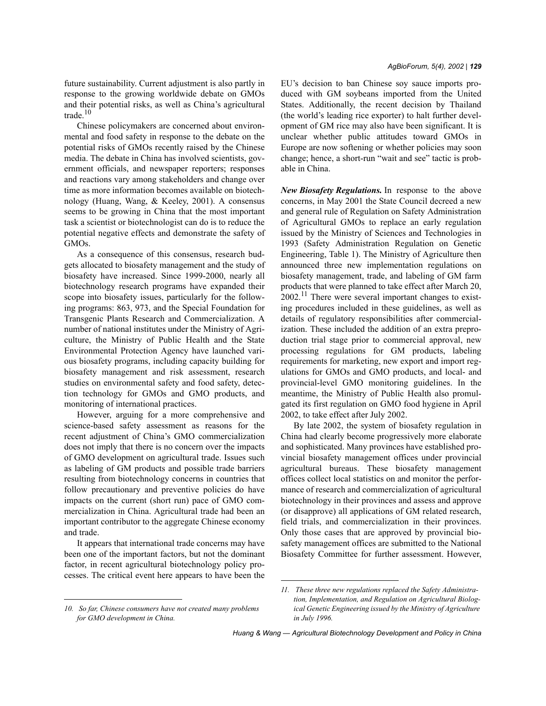future sustainability. Current adjustment is also partly in response to the growing worldwide debate on GMOs and their potential risks, as well as China's agricultural trade. $10$ 

Chinese policymakers are concerned about environmental and food safety in response to the debate on the potential risks of GMOs recently raised by the Chinese media. The debate in China has involved scientists, government officials, and newspaper reporters; responses and reactions vary among stakeholders and change over time as more information becomes available on biotechnology (Huang, Wang, & Keeley, 2001). A consensus seems to be growing in China that the most important task a scientist or biotechnologist can do is to reduce the potential negative effects and demonstrate the safety of GMOs.

As a consequence of this consensus, research budgets allocated to biosafety management and the study of biosafety have increased. Since 1999-2000, nearly all biotechnology research programs have expanded their scope into biosafety issues, particularly for the following programs: 863, 973, and the Special Foundation for Transgenic Plants Research and Commercialization. A number of national institutes under the Ministry of Agriculture, the Ministry of Public Health and the State Environmental Protection Agency have launched various biosafety programs, including capacity building for biosafety management and risk assessment, research studies on environmental safety and food safety, detection technology for GMOs and GMO products, and monitoring of international practices.

However, arguing for a more comprehensive and science-based safety assessment as reasons for the recent adjustment of China's GMO commercialization does not imply that there is no concern over the impacts of GMO development on agricultural trade. Issues such as labeling of GM products and possible trade barriers resulting from biotechnology concerns in countries that follow precautionary and preventive policies do have impacts on the current (short run) pace of GMO commercialization in China. Agricultural trade had been an important contributor to the aggregate Chinese economy and trade.

It appears that international trade concerns may have been one of the important factors, but not the dominant factor, in recent agricultural biotechnology policy processes. The critical event here appears to have been the EU's decision to ban Chinese soy sauce imports produced with GM soybeans imported from the United States. Additionally, the recent decision by Thailand (the world's leading rice exporter) to halt further development of GM rice may also have been significant. It is unclear whether public attitudes toward GMOs in Europe are now softening or whether policies may soon change; hence, a short-run "wait and see" tactic is probable in China.

*New Biosafety Regulations.* In response to the above concerns, in May 2001 the State Council decreed a new and general rule of Regulation on Safety Administration of Agricultural GMOs to replace an early regulation issued by the Ministry of Sciences and Technologies in 1993 (Safety Administration Regulation on Genetic Engineering, Table 1). The Ministry of Agriculture then announced three new implementation regulations on biosafety management, trade, and labeling of GM farm products that were planned to take effect after March 20,  $2002$ .<sup>11</sup> There were several important changes to existing procedures included in these guidelines, as well as details of regulatory responsibilities after commercialization. These included the addition of an extra preproduction trial stage prior to commercial approval, new processing regulations for GM products, labeling requirements for marketing, new export and import regulations for GMOs and GMO products, and local- and provincial-level GMO monitoring guidelines. In the meantime, the Ministry of Public Health also promulgated its first regulation on GMO food hygiene in April 2002, to take effect after July 2002.

By late 2002, the system of biosafety regulation in China had clearly become progressively more elaborate and sophisticated. Many provinces have established provincial biosafety management offices under provincial agricultural bureaus. These biosafety management offices collect local statistics on and monitor the performance of research and commercialization of agricultural biotechnology in their provinces and assess and approve (or disapprove) all applications of GM related research, field trials, and commercialization in their provinces. Only those cases that are approved by provincial biosafety management offices are submitted to the National Biosafety Committee for further assessment. However,

*<sup>10.</sup> So far, Chinese consumers have not created many problems for GMO development in China.*

*<sup>11.</sup> These three new regulations replaced the Safety Administration, Implementation, and Regulation on Agricultural Biological Genetic Engineering issued by the Ministry of Agriculture in July 1996.*

*Huang & Wang — Agricultural Biotechnology Development and Policy in China*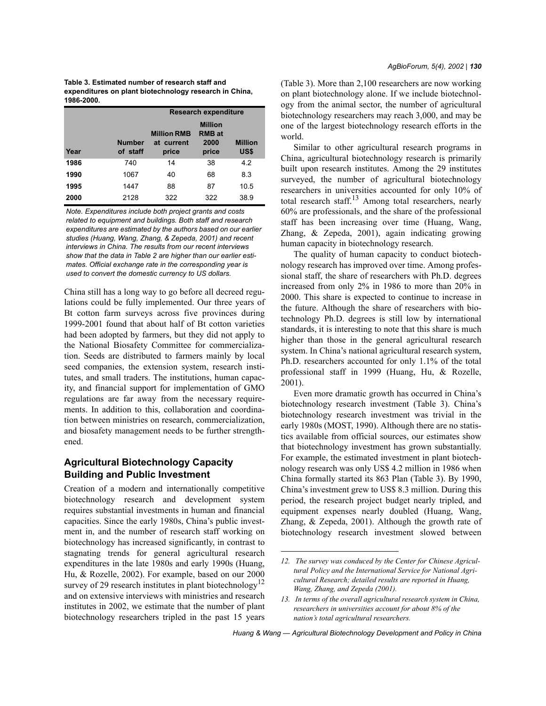**Table 3. Estimated number of research staff and expenditures on plant biotechnology research in China, 1986-2000.**

|      |                           | <b>Research expenditure</b>               |                                                  |                        |  |
|------|---------------------------|-------------------------------------------|--------------------------------------------------|------------------------|--|
| Year | <b>Number</b><br>of staff | <b>Million RMB</b><br>at current<br>price | <b>Million</b><br><b>RMB</b> at<br>2000<br>price | <b>Million</b><br>US\$ |  |
| 1986 | 740                       | 14                                        | 38                                               | 4.2                    |  |
| 1990 | 1067                      | 40                                        | 68                                               | 8.3                    |  |
| 1995 | 1447                      | 88                                        | 87                                               | 10.5                   |  |
| 2000 | 2128                      | 322                                       | 322                                              | 38.9                   |  |

*Note. Expenditures include both project grants and costs related to equipment and buildings. Both staff and research expenditures are estimated by the authors based on our earlier studies (Huang, Wang, Zhang, & Zepeda, 2001) and recent interviews in China. The results from our recent interviews show that the data in Table 2 are higher than our earlier estimates. Official exchange rate in the corresponding year is used to convert the domestic currency to US dollars.* 

China still has a long way to go before all decreed regulations could be fully implemented. Our three years of Bt cotton farm surveys across five provinces during 1999-2001 found that about half of Bt cotton varieties had been adopted by farmers, but they did not apply to the National Biosafety Committee for commercialization. Seeds are distributed to farmers mainly by local seed companies, the extension system, research institutes, and small traders. The institutions, human capacity, and financial support for implementation of GMO regulations are far away from the necessary requirements. In addition to this, collaboration and coordination between ministries on research, commercialization, and biosafety management needs to be further strengthened.

# **Agricultural Biotechnology Capacity Building and Public Investment**

Creation of a modern and internationally competitive biotechnology research and development system requires substantial investments in human and financial capacities. Since the early 1980s, China's public investment in, and the number of research staff working on biotechnology has increased significantly, in contrast to stagnating trends for general agricultural research expenditures in the late 1980s and early 1990s (Huang, Hu, & Rozelle, 2002). For example, based on our 2000 survey of 29 research institutes in plant biotechnology<sup>12</sup> and on extensive interviews with ministries and research institutes in 2002, we estimate that the number of plant biotechnology researchers tripled in the past 15 years (Table 3). More than 2,100 researchers are now working on plant biotechnology alone. If we include biotechnology from the animal sector, the number of agricultural biotechnology researchers may reach 3,000, and may be one of the largest biotechnology research efforts in the world.

Similar to other agricultural research programs in China, agricultural biotechnology research is primarily built upon research institutes. Among the 29 institutes surveyed, the number of agricultural biotechnology researchers in universities accounted for only 10% of total research staff. $13$  Among total researchers, nearly 60% are professionals, and the share of the professional staff has been increasing over time (Huang, Wang, Zhang, & Zepeda, 2001), again indicating growing human capacity in biotechnology research.

The quality of human capacity to conduct biotechnology research has improved over time. Among professional staff, the share of researchers with Ph.D. degrees increased from only 2% in 1986 to more than 20% in 2000. This share is expected to continue to increase in the future. Although the share of researchers with biotechnology Ph.D. degrees is still low by international standards, it is interesting to note that this share is much higher than those in the general agricultural research system. In China's national agricultural research system, Ph.D. researchers accounted for only 1.1% of the total professional staff in 1999 (Huang, Hu, & Rozelle, 2001).

Even more dramatic growth has occurred in China's biotechnology research investment (Table 3). China's biotechnology research investment was trivial in the early 1980s (MOST, 1990). Although there are no statistics available from official sources, our estimates show that biotechnology investment has grown substantially. For example, the estimated investment in plant biotechnology research was only US\$ 4.2 million in 1986 when China formally started its 863 Plan (Table 3). By 1990, Chinaís investment grew to US\$ 8.3 million. During this period, the research project budget nearly tripled, and equipment expenses nearly doubled (Huang, Wang, Zhang, & Zepeda, 2001). Although the growth rate of biotechnology research investment slowed between

*<sup>12.</sup> The survey was conduced by the Center for Chinese Agricultural Policy and the International Service for National Agricultural Research; detailed results are reported in Huang, Wang, Zhang, and Zepeda (2001).*

*<sup>13.</sup> In terms of the overall agricultural research system in China, researchers in universities account for about 8% of the nationís total agricultural researchers.*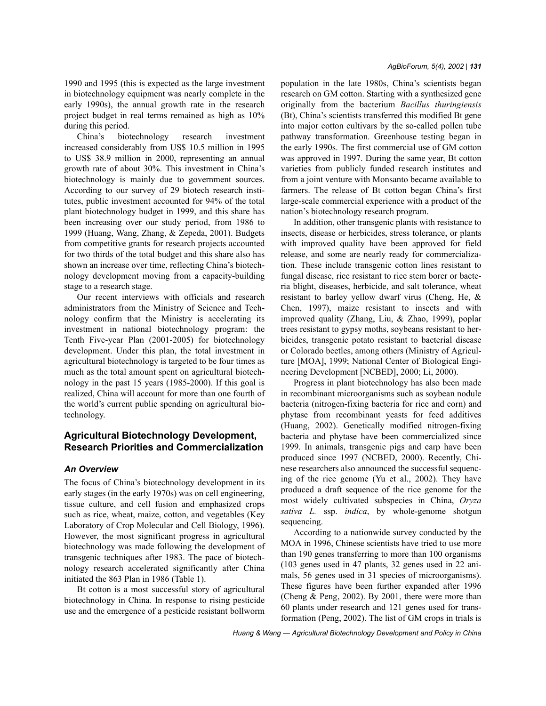during this period. Chinaís biotechnology research investment increased considerably from US\$ 10.5 million in 1995 to US\$ 38.9 million in 2000, representing an annual growth rate of about 30%. This investment in Chinaís biotechnology is mainly due to government sources. According to our survey of 29 biotech research institutes, public investment accounted for 94% of the total plant biotechnology budget in 1999, and this share has been increasing over our study period, from 1986 to 1999 (Huang, Wang, Zhang, & Zepeda, 2001). Budgets from competitive grants for research projects accounted for two thirds of the total budget and this share also has shown an increase over time, reflecting China's biotechnology development moving from a capacity-building stage to a research stage.

Our recent interviews with officials and research administrators from the Ministry of Science and Technology confirm that the Ministry is accelerating its investment in national biotechnology program: the Tenth Five-year Plan (2001-2005) for biotechnology development. Under this plan, the total investment in agricultural biotechnology is targeted to be four times as much as the total amount spent on agricultural biotechnology in the past 15 years (1985-2000). If this goal is realized, China will account for more than one fourth of the world's current public spending on agricultural biotechnology.

# **Agricultural Biotechnology Development, Research Priorities and Commercialization**

# *An Overview*

The focus of China's biotechnology development in its early stages (in the early 1970s) was on cell engineering, tissue culture, and cell fusion and emphasized crops such as rice, wheat, maize, cotton, and vegetables (Key Laboratory of Crop Molecular and Cell Biology, 1996). However, the most significant progress in agricultural biotechnology was made following the development of transgenic techniques after 1983. The pace of biotechnology research accelerated significantly after China initiated the 863 Plan in 1986 (Table 1).

Bt cotton is a most successful story of agricultural biotechnology in China. In response to rising pesticide use and the emergence of a pesticide resistant bollworm population in the late 1980s, China's scientists began research on GM cotton. Starting with a synthesized gene originally from the bacterium *Bacillus thuringiensis* (Bt), Chinaís scientists transferred this modified Bt gene into major cotton cultivars by the so-called pollen tube pathway transformation. Greenhouse testing began in the early 1990s. The first commercial use of GM cotton was approved in 1997. During the same year, Bt cotton varieties from publicly funded research institutes and from a joint venture with Monsanto became available to farmers. The release of Bt cotton began China's first large-scale commercial experience with a product of the nation's biotechnology research program.

In addition, other transgenic plants with resistance to insects, disease or herbicides, stress tolerance, or plants with improved quality have been approved for field release, and some are nearly ready for commercialization. These include transgenic cotton lines resistant to fungal disease, rice resistant to rice stem borer or bacteria blight, diseases, herbicide, and salt tolerance, wheat resistant to barley yellow dwarf virus (Cheng, He, & Chen, 1997), maize resistant to insects and with improved quality (Zhang, Liu, & Zhao, 1999), poplar trees resistant to gypsy moths, soybeans resistant to herbicides, transgenic potato resistant to bacterial disease or Colorado beetles, among others (Ministry of Agriculture [MOA], 1999; National Center of Biological Engineering Development [NCBED], 2000; Li, 2000).

Progress in plant biotechnology has also been made in recombinant microorganisms such as soybean nodule bacteria (nitrogen-fixing bacteria for rice and corn) and phytase from recombinant yeasts for feed additives (Huang, 2002). Genetically modified nitrogen-fixing bacteria and phytase have been commercialized since 1999. In animals, transgenic pigs and carp have been produced since 1997 (NCBED, 2000). Recently, Chinese researchers also announced the successful sequencing of the rice genome (Yu et al., 2002). They have produced a draft sequence of the rice genome for the most widely cultivated subspecies in China, *Oryza sativa L.* ssp. *indica*, by whole-genome shotgun sequencing.

According to a nationwide survey conducted by the MOA in 1996, Chinese scientists have tried to use more than 190 genes transferring to more than 100 organisms (103 genes used in 47 plants, 32 genes used in 22 animals, 56 genes used in 31 species of microorganisms). These figures have been further expanded after 1996 (Cheng & Peng, 2002). By 2001, there were more than 60 plants under research and 121 genes used for transformation (Peng, 2002). The list of GM crops in trials is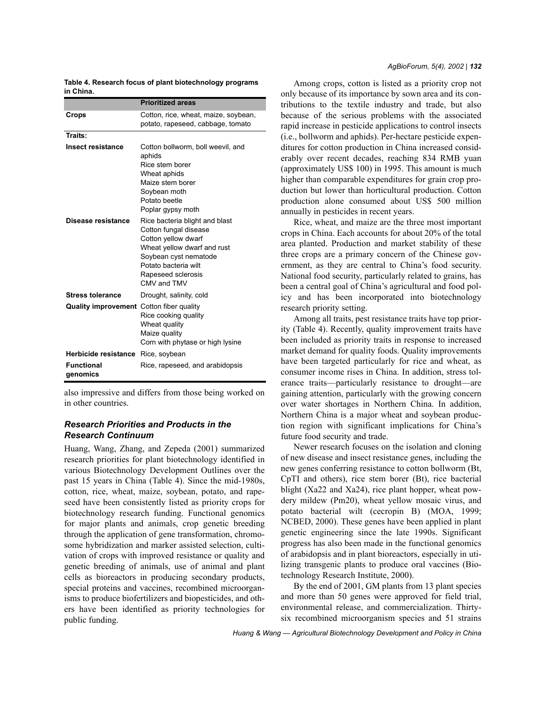| Table 4. Research focus of plant biotechnology programs |  |
|---------------------------------------------------------|--|
| in China.                                               |  |

|                                                 | <b>Prioritized areas</b>                                                                                                                                                                                                                                                                                                                                        |
|-------------------------------------------------|-----------------------------------------------------------------------------------------------------------------------------------------------------------------------------------------------------------------------------------------------------------------------------------------------------------------------------------------------------------------|
| Crops                                           | Cotton, rice, wheat, maize, soybean,<br>potato, rapeseed, cabbage, tomato                                                                                                                                                                                                                                                                                       |
| Traits:                                         |                                                                                                                                                                                                                                                                                                                                                                 |
| <b>Insect resistance</b><br>Disease resistance  | Cotton bollworm, boll weevil, and<br>aphids<br>Rice stem borer<br>Wheat aphids<br>Maize stem borer<br>Soybean moth<br>Potato beetle<br>Poplar gypsy moth<br>Rice bacteria blight and blast<br>Cotton fungal disease<br>Cotton yellow dwarf<br>Wheat yellow dwarf and rust<br>Soybean cyst nematode<br>Potato bacteria wilt<br>Rapeseed sclerosis<br>CMV and TMV |
| <b>Stress tolerance</b>                         | Drought, salinity, cold                                                                                                                                                                                                                                                                                                                                         |
| <b>Quality improvement</b> Cotton fiber quality | Rice cooking quality<br>Wheat quality<br>Maize quality<br>Corn with phytase or high lysine                                                                                                                                                                                                                                                                      |
| <b>Herbicide resistance</b>                     | Rice, soybean                                                                                                                                                                                                                                                                                                                                                   |
| <b>Functional</b><br>genomics                   | Rice, rapeseed, and arabidopsis                                                                                                                                                                                                                                                                                                                                 |

also impressive and differs from those being worked on in other countries.

### *Research Priorities and Products in the Research Continuum*

Huang, Wang, Zhang, and Zepeda (2001) summarized research priorities for plant biotechnology identified in various Biotechnology Development Outlines over the past 15 years in China (Table 4). Since the mid-1980s, cotton, rice, wheat, maize, soybean, potato, and rapeseed have been consistently listed as priority crops for biotechnology research funding. Functional genomics for major plants and animals, crop genetic breeding through the application of gene transformation, chromosome hybridization and marker assisted selection, cultivation of crops with improved resistance or quality and genetic breeding of animals, use of animal and plant cells as bioreactors in producing secondary products, special proteins and vaccines, recombined microorganisms to produce biofertilizers and biopesticides, and others have been identified as priority technologies for public funding.

Among crops, cotton is listed as a priority crop not only because of its importance by sown area and its contributions to the textile industry and trade, but also because of the serious problems with the associated rapid increase in pesticide applications to control insects (i.e., bollworm and aphids). Per-hectare pesticide expenditures for cotton production in China increased considerably over recent decades, reaching 834 RMB yuan (approximately US\$ 100) in 1995. This amount is much higher than comparable expenditures for grain crop production but lower than horticultural production. Cotton production alone consumed about US\$ 500 million annually in pesticides in recent years.

Rice, wheat, and maize are the three most important crops in China. Each accounts for about 20% of the total area planted. Production and market stability of these three crops are a primary concern of the Chinese government, as they are central to China's food security. National food security, particularly related to grains, has been a central goal of China's agricultural and food policy and has been incorporated into biotechnology research priority setting.

Among all traits, pest resistance traits have top priority (Table 4). Recently, quality improvement traits have been included as priority traits in response to increased market demand for quality foods. Quality improvements have been targeted particularly for rice and wheat, as consumer income rises in China. In addition, stress tolerance traits—particularly resistance to drought—are gaining attention, particularly with the growing concern over water shortages in Northern China. In addition, Northern China is a major wheat and soybean production region with significant implications for China's future food security and trade.

Newer research focuses on the isolation and cloning of new disease and insect resistance genes, including the new genes conferring resistance to cotton bollworm (Bt, CpTI and others), rice stem borer (Bt), rice bacterial blight (Xa22 and Xa24), rice plant hopper, wheat powdery mildew (Pm20), wheat yellow mosaic virus, and potato bacterial wilt (cecropin B) (MOA, 1999; NCBED, 2000). These genes have been applied in plant genetic engineering since the late 1990s. Significant progress has also been made in the functional genomics of arabidopsis and in plant bioreactors, especially in utilizing transgenic plants to produce oral vaccines (Biotechnology Research Institute, 2000).

By the end of 2001, GM plants from 13 plant species and more than 50 genes were approved for field trial, environmental release, and commercialization. Thirtysix recombined microorganism species and 51 strains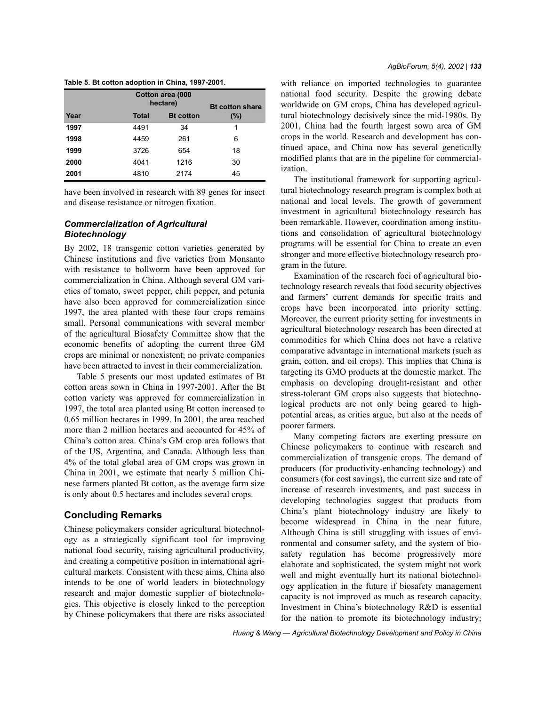|      | <b>Bt cotton share</b> |                  |     |
|------|------------------------|------------------|-----|
| Year | <b>Total</b>           | <b>Bt</b> cotton | (%) |
| 1997 | 4491                   | 34               | 1   |
| 1998 | 4459                   | 261              | 6   |
| 1999 | 3726                   | 654              | 18  |
| 2000 | 4041                   | 1216             | 30  |
| 2001 | 4810                   | 2174             | 45  |

|  |  | Table 5. Bt cotton adoption in China, 1997-2001. |
|--|--|--------------------------------------------------|
|  |  |                                                  |

have been involved in research with 89 genes for insect and disease resistance or nitrogen fixation.

## *Commercialization of Agricultural Biotechnology*

By 2002, 18 transgenic cotton varieties generated by Chinese institutions and five varieties from Monsanto with resistance to bollworm have been approved for commercialization in China. Although several GM varieties of tomato, sweet pepper, chili pepper, and petunia have also been approved for commercialization since 1997, the area planted with these four crops remains small. Personal communications with several member of the agricultural Biosafety Committee show that the economic benefits of adopting the current three GM crops are minimal or nonexistent; no private companies have been attracted to invest in their commercialization.

Table 5 presents our most updated estimates of Bt cotton areas sown in China in 1997-2001. After the Bt cotton variety was approved for commercialization in 1997, the total area planted using Bt cotton increased to 0.65 million hectares in 1999. In 2001, the area reached more than 2 million hectares and accounted for 45% of China's cotton area. China's GM crop area follows that of the US, Argentina, and Canada. Although less than 4% of the total global area of GM crops was grown in China in 2001, we estimate that nearly 5 million Chinese farmers planted Bt cotton, as the average farm size is only about 0.5 hectares and includes several crops.

# **Concluding Remarks**

Chinese policymakers consider agricultural biotechnology as a strategically significant tool for improving national food security, raising agricultural productivity, and creating a competitive position in international agricultural markets. Consistent with these aims, China also intends to be one of world leaders in biotechnology research and major domestic supplier of biotechnologies. This objective is closely linked to the perception by Chinese policymakers that there are risks associated with reliance on imported technologies to guarantee national food security. Despite the growing debate worldwide on GM crops, China has developed agricultural biotechnology decisively since the mid-1980s. By 2001, China had the fourth largest sown area of GM crops in the world. Research and development has continued apace, and China now has several genetically modified plants that are in the pipeline for commercialization.

The institutional framework for supporting agricultural biotechnology research program is complex both at national and local levels. The growth of government investment in agricultural biotechnology research has been remarkable. However, coordination among institutions and consolidation of agricultural biotechnology programs will be essential for China to create an even stronger and more effective biotechnology research program in the future.

Examination of the research foci of agricultural biotechnology research reveals that food security objectives and farmers' current demands for specific traits and crops have been incorporated into priority setting. Moreover, the current priority setting for investments in agricultural biotechnology research has been directed at commodities for which China does not have a relative comparative advantage in international markets (such as grain, cotton, and oil crops). This implies that China is targeting its GMO products at the domestic market. The emphasis on developing drought-resistant and other stress-tolerant GM crops also suggests that biotechnological products are not only being geared to highpotential areas, as critics argue, but also at the needs of poorer farmers.

Many competing factors are exerting pressure on Chinese policymakers to continue with research and commercialization of transgenic crops. The demand of producers (for productivity-enhancing technology) and consumers (for cost savings), the current size and rate of increase of research investments, and past success in developing technologies suggest that products from Chinaís plant biotechnology industry are likely to become widespread in China in the near future. Although China is still struggling with issues of environmental and consumer safety, and the system of biosafety regulation has become progressively more elaborate and sophisticated, the system might not work well and might eventually hurt its national biotechnology application in the future if biosafety management capacity is not improved as much as research capacity. Investment in China's biotechnology R&D is essential for the nation to promote its biotechnology industry;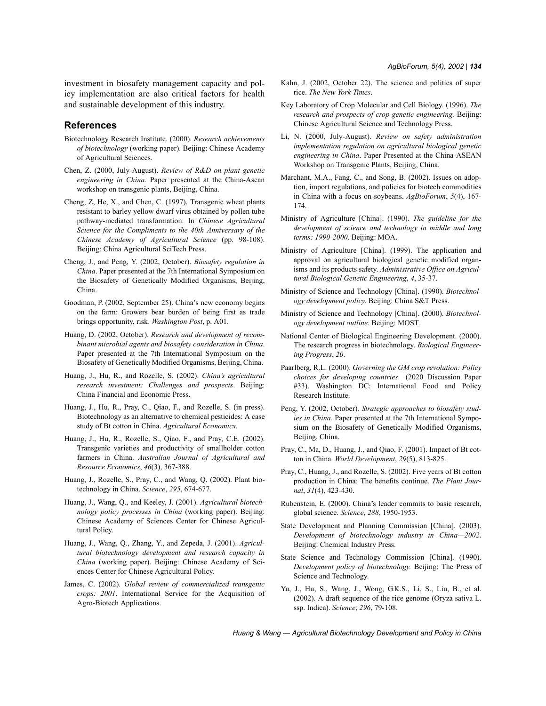investment in biosafety management capacity and policy implementation are also critical factors for health and sustainable development of this industry.

#### **References**

- Biotechnology Research Institute. (2000). *Research achievements of biotechnology* (working paper). Beijing: Chinese Academy of Agricultural Sciences.
- Chen, Z. (2000, July-August). *Review of R&D on plant genetic engineering in China*. Paper presented at the China-Asean workshop on transgenic plants, Beijing, China.
- Cheng, Z, He, X., and Chen, C. (1997). Transgenic wheat plants resistant to barley yellow dwarf virus obtained by pollen tube pathway-mediated transformation. In *Chinese Agricultural Science for the Compliments to the 40th Anniversary of the Chinese Academy of Agricultural Science* (pp. 98-108). Beijing: China Agricultural SciTech Press.
- Cheng, J., and Peng, Y. (2002, October). *Biosafety regulation in China*. Paper presented at the 7th International Symposium on the Biosafety of Genetically Modified Organisms, Beijing, China.
- Goodman, P. (2002, September 25). China's new economy begins on the farm: Growers bear burden of being first as trade brings opportunity, risk. *Washington Post*, p. A01.
- Huang, D. (2002, October). *Research and development of recombinant microbial agents and biosafety consideration in China*. Paper presented at the 7th International Symposium on the Biosafety of Genetically Modified Organisms, Beijing, China.
- Huang, J., Hu, R., and Rozelle, S. (2002). *Chinaís agricultural research investment: Challenges and prospects*. Beijing: China Financial and Economic Press.
- Huang, J., Hu, R., Pray, C., Qiao, F., and Rozelle, S. (in press). Biotechnology as an alternative to chemical pesticides: A case study of Bt cotton in China. *Agricultural Economics*.
- Huang, J., Hu, R., Rozelle, S., Qiao, F., and Pray, C.E. (2002). Transgenic varieties and productivity of smallholder cotton farmers in China. *Australian Journal of Agricultural and Resource Economics*, *46*(3), 367-388.
- Huang, J., Rozelle, S., Pray, C., and Wang, Q. (2002). Plant biotechnology in China. *Science*, *295*, 674-677.
- Huang, J., Wang, Q., and Keeley, J. (2001). *Agricultural biotechnology policy processes in China* (working paper). Beijing: Chinese Academy of Sciences Center for Chinese Agricultural Policy.
- Huang, J., Wang, Q., Zhang, Y., and Zepeda, J. (2001). *Agricultural biotechnology development and research capacity in China* (working paper). Beijing: Chinese Academy of Sciences Center for Chinese Agricultural Policy.
- James, C. (2002). *Global review of commercialized transgenic crops: 2001*. International Service for the Acquisition of Agro-Biotech Applications.
- Kahn, J. (2002, October 22). The science and politics of super rice. *The New York Times*.
- Key Laboratory of Crop Molecular and Cell Biology. (1996). *The research and prospects of crop genetic engineering.* Beijing: Chinese Agricultural Science and Technology Press.
- Li, N. (2000, July-August). *Review on safety administration implementation regulation on agricultural biological genetic engineering in China*. Paper Presented at the China-ASEAN Workshop on Transgenic Plants, Beijing, China.
- Marchant, M.A., Fang, C., and Song, B. (2002). Issues on adoption, import regulations, and policies for biotech commodities in China with a focus on soybeans. *AgBioForum*, *5*(4), 167- 174.
- Ministry of Agriculture [China]. (1990). *The guideline for the development of science and technology in middle and long terms: 1990-2000*. Beijing: MOA.
- Ministry of Agriculture [China]. (1999). The application and approval on agricultural biological genetic modified organisms and its products safety. *Administrative Office on Agricultural Biological Genetic Engineering*, *4*, 35-37.
- Ministry of Science and Technology [China]. (1990). *Biotechnology development policy*. Beijing: China S&T Press.
- Ministry of Science and Technology [China]. (2000). *Biotechnology development outline*. Beijing: MOST.
- National Center of Biological Engineering Development. (2000). The research progress in biotechnology. *Biological Engineering Progress*, *20*.
- Paarlberg, R.L. (2000). *Governing the GM crop revolution: Policy choices for developing countries* (2020 Discussion Paper #33). Washington DC: International Food and Policy Research Institute.
- Peng, Y. (2002, October). *Strategic approaches to biosafety studies in China*. Paper presented at the 7th International Symposium on the Biosafety of Genetically Modified Organisms, Beijing, China.
- Pray, C., Ma, D., Huang, J., and Qiao, F. (2001). Impact of Bt cotton in China. *World Development*, *29*(5), 813-825.
- Pray, C., Huang, J., and Rozelle, S. (2002). Five years of Bt cotton production in China: The benefits continue. *The Plant Journal*, *31*(4), 423-430.
- Rubenstein, E. (2000). China's leader commits to basic research, global science. *Science*, *288*, 1950-1953.
- State Development and Planning Commission [China]. (2003). *Development of biotechnology industry in China-2002.* Beijing: Chemical Industry Press.
- State Science and Technology Commission [China]. (1990). *Development policy of biotechnology.* Beijing: The Press of Science and Technology.
- Yu, J., Hu, S., Wang, J., Wong, G.K.S., Li, S., Liu, B., et al. (2002). A draft sequence of the rice genome (Oryza sativa L. ssp. Indica). *Science*, *296*, 79-108.